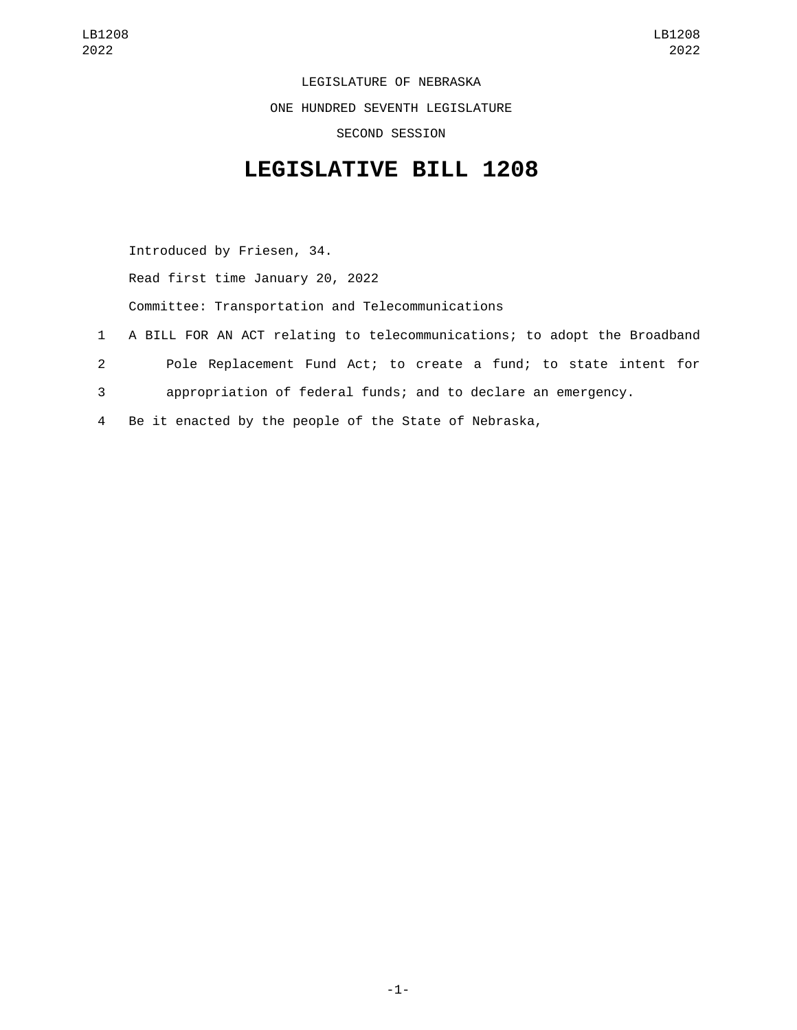LEGISLATURE OF NEBRASKA ONE HUNDRED SEVENTH LEGISLATURE SECOND SESSION

## **LEGISLATIVE BILL 1208**

Introduced by Friesen, 34. Read first time January 20, 2022 Committee: Transportation and Telecommunications 1 A BILL FOR AN ACT relating to telecommunications; to adopt the Broadband 2 Pole Replacement Fund Act; to create a fund; to state intent for 3 appropriation of federal funds; and to declare an emergency. 4 Be it enacted by the people of the State of Nebraska,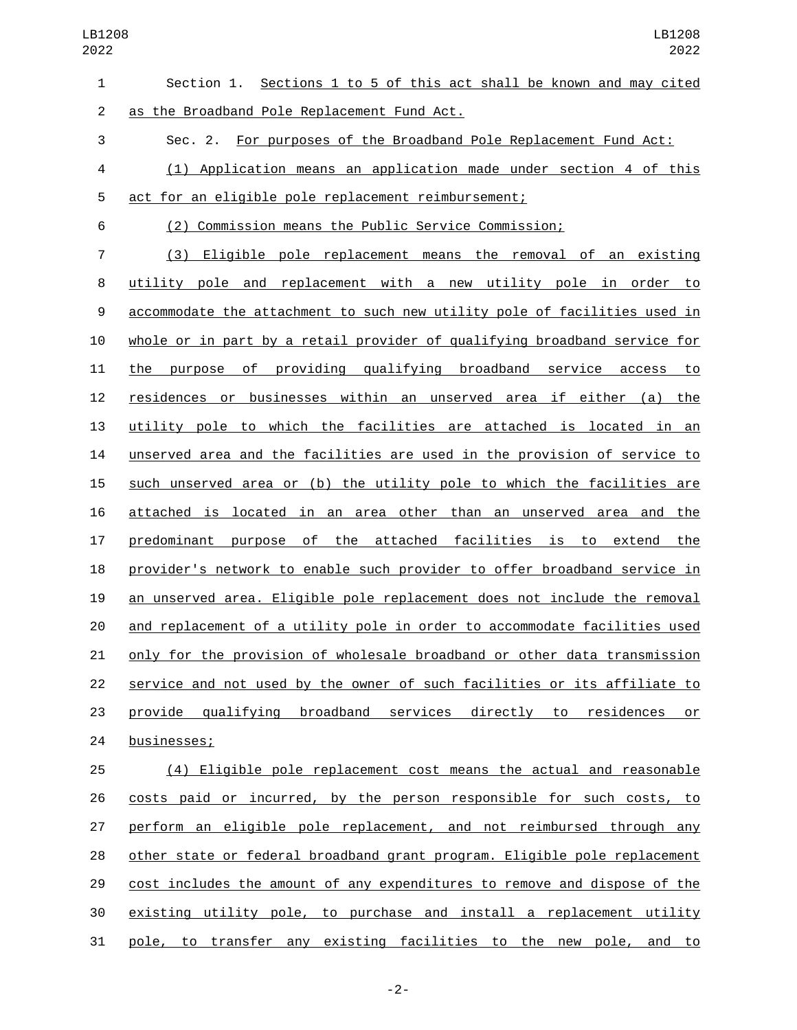| $\mathbf{1}$   | Section 1. Sections 1 to 5 of this act shall be known and may cited       |
|----------------|---------------------------------------------------------------------------|
| $\overline{2}$ | as the Broadband Pole Replacement Fund Act.                               |
| 3              | Sec. 2. For purposes of the Broadband Pole Replacement Fund Act:          |
| 4              | (1) Application means an application made under section 4 of this         |
| 5              | act for an eligible pole replacement reimbursement;                       |
| 6              | (2) Commission means the Public Service Commission;                       |
| $\overline{7}$ | (3) Eligible pole replacement means the removal of an existing            |
| 8              | utility pole and replacement with a new utility pole in order to          |
| 9              | accommodate the attachment to such new utility pole of facilities used in |
| 10             | whole or in part by a retail provider of qualifying broadband service for |
| 11             | the purpose of providing qualifying broadband service access<br><u>to</u> |
| 12             | residences or businesses within an unserved area if either (a) the        |
| 13             | utility pole to which the facilities are attached is located in an        |
| 14             | unserved area and the facilities are used in the provision of service to  |
| 15             | such unserved area or (b) the utility pole to which the facilities are    |
| 16             | attached is located in an area other than an unserved area and the        |
| 17             | predominant purpose of the attached facilities is to extend the           |
| 18             | provider's network to enable such provider to offer broadband service in  |
| 19             | an unserved area. Eligible pole replacement does not include the removal  |
| 20             | and replacement of a utility pole in order to accommodate facilities used |
| 21             | only for the provision of wholesale broadband or other data transmission  |
| 22             | service and not used by the owner of such facilities or its affiliate to  |
| 23             | provide qualifying broadband services directly to residences<br>or        |
| 24             | businesses;                                                               |
| 25             | (4) Eligible pole replacement cost means the actual and reasonable        |
| 26             | costs paid or incurred, by the person responsible for such costs, to      |
| 27             | perform an eligible pole replacement, and not reimbursed through any      |

cost includes the amount of any expenditures to remove and dispose of the

28 other state or federal broadband grant program. Eligible pole replacement

 existing utility pole, to purchase and install a replacement utility pole, to transfer any existing facilities to the new pole, and to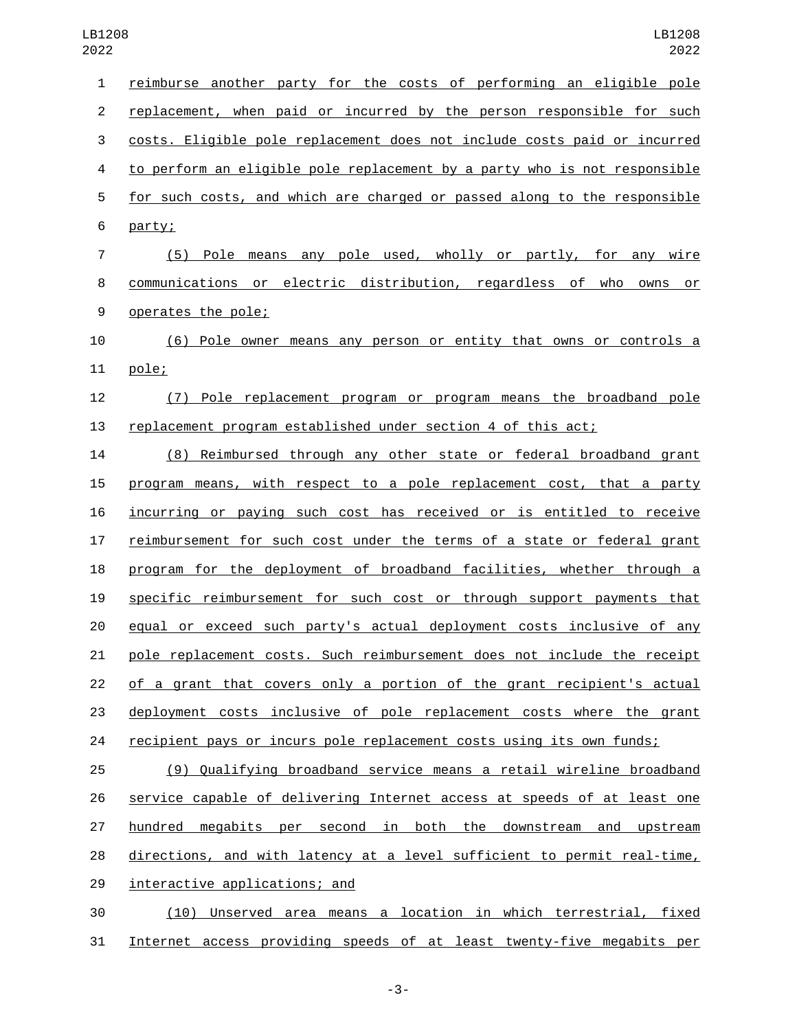| 1                        | reimburse another party for the costs of performing an eligible pole      |
|--------------------------|---------------------------------------------------------------------------|
| $\overline{c}$           | replacement, when paid or incurred by the person responsible for such     |
| 3                        | costs. Eligible pole replacement does not include costs paid or incurred  |
| $\overline{\mathcal{A}}$ | to perform an eligible pole replacement by a party who is not responsible |
| 5                        | for such costs, and which are charged or passed along to the responsible  |
| 6                        | party;                                                                    |
| $\overline{7}$           | (5) Pole means any pole used, wholly or partly, for any wire              |
| 8                        | communications or electric distribution, regardless of who owns or        |
| $\boldsymbol{9}$         | operates the pole;                                                        |
| 10                       | (6) Pole owner means any person or entity that owns or controls a         |
| 11                       | pole;                                                                     |
| 12                       | Pole replacement program or program means the broadband pole<br>(7)       |
| 13                       | replacement program established under section 4 of this act;              |
| 14                       | (8) Reimbursed through any other state or federal broadband grant         |
| 15                       | program means, with respect to a pole replacement cost, that a party      |
| 16                       | incurring or paying such cost has received or is entitled to receive      |
| 17                       | reimbursement for such cost under the terms of a state or federal grant   |
| 18                       | program for the deployment of broadband facilities, whether through a     |
| 19                       | specific reimbursement for such cost or through support payments that     |
| 20                       | equal or exceed such party's actual deployment costs inclusive of any     |
| 21                       | pole replacement costs. Such reimbursement does not include the receipt   |
| 22                       | of a grant that covers only a portion of the grant recipient's actual     |
| 23                       | deployment costs inclusive of pole replacement costs where the grant      |
| 24                       | recipient pays or incurs pole replacement costs using its own funds;      |
| 25                       | (9) Qualifying broadband service means a retail wireline broadband        |
| 26                       | service capable of delivering Internet access at speeds of at least one   |
| 27                       | hundred<br>megabits per second in<br>both the downstream and<br>upstream  |

28 directions, and with latency at a level sufficient to permit real-time,

29 interactive applications; and

 (10) Unserved area means a location in which terrestrial, fixed Internet access providing speeds of at least twenty-five megabits per

-3-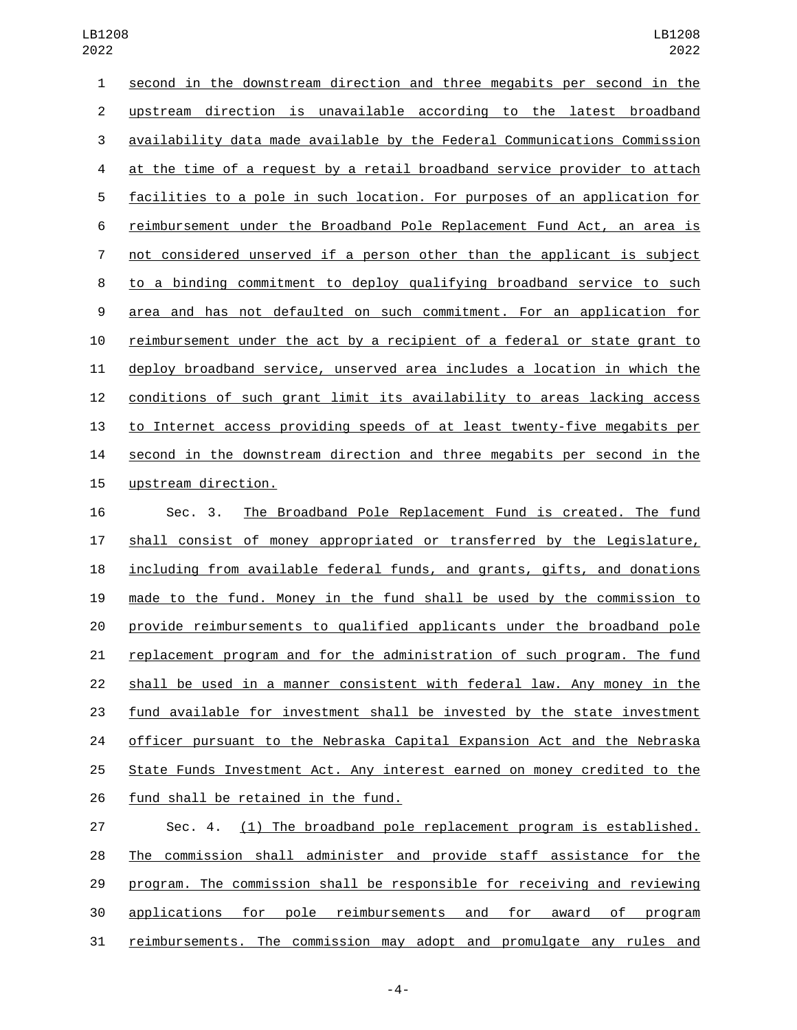second in the downstream direction and three megabits per second in the upstream direction is unavailable according to the latest broadband availability data made available by the Federal Communications Commission at the time of a request by a retail broadband service provider to attach facilities to a pole in such location. For purposes of an application for reimbursement under the Broadband Pole Replacement Fund Act, an area is not considered unserved if a person other than the applicant is subject to a binding commitment to deploy qualifying broadband service to such area and has not defaulted on such commitment. For an application for reimbursement under the act by a recipient of a federal or state grant to deploy broadband service, unserved area includes a location in which the conditions of such grant limit its availability to areas lacking access to Internet access providing speeds of at least twenty-five megabits per second in the downstream direction and three megabits per second in the 15 upstream direction.

 Sec. 3. The Broadband Pole Replacement Fund is created. The fund shall consist of money appropriated or transferred by the Legislature, 18 <u>including from available federal funds</u>, and grants, gifts, and donations made to the fund. Money in the fund shall be used by the commission to provide reimbursements to qualified applicants under the broadband pole replacement program and for the administration of such program. The fund shall be used in a manner consistent with federal law. Any money in the fund available for investment shall be invested by the state investment 24 officer pursuant to the Nebraska Capital Expansion Act and the Nebraska State Funds Investment Act. Any interest earned on money credited to the 26 fund shall be retained in the fund.

 Sec. 4. (1) The broadband pole replacement program is established. The commission shall administer and provide staff assistance for the program. The commission shall be responsible for receiving and reviewing applications for pole reimbursements and for award of program reimbursements. The commission may adopt and promulgate any rules and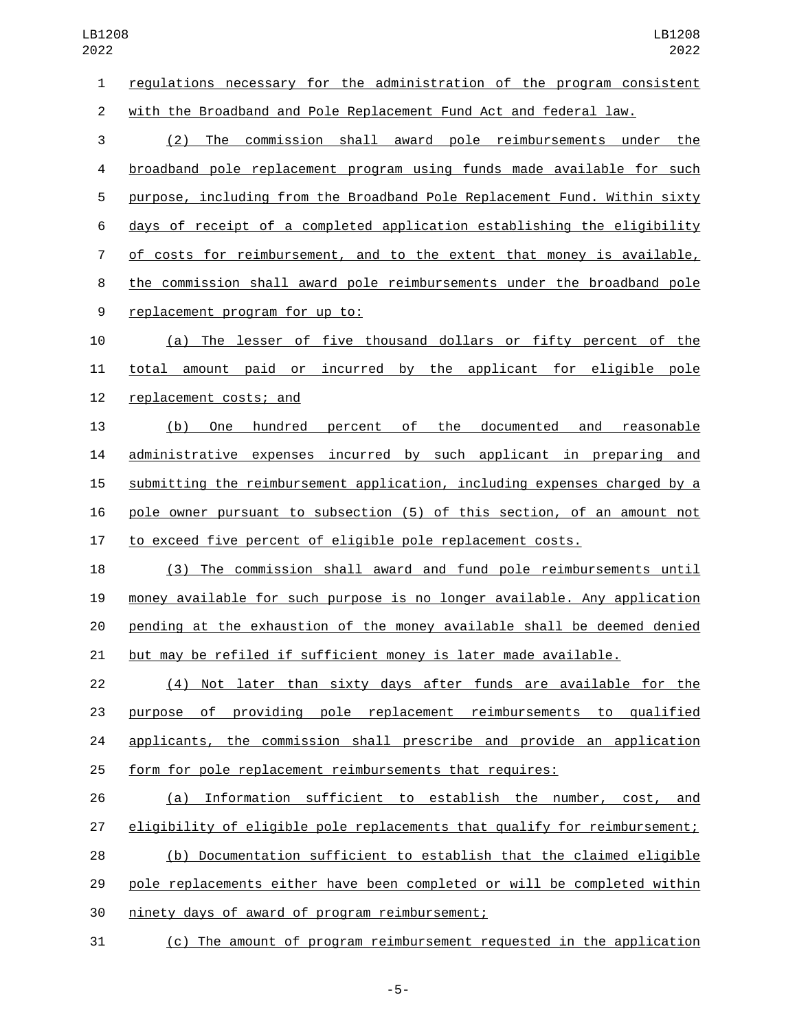regulations necessary for the administration of the program consistent with the Broadband and Pole Replacement Fund Act and federal law.

 (2) The commission shall award pole reimbursements under the broadband pole replacement program using funds made available for such purpose, including from the Broadband Pole Replacement Fund. Within sixty days of receipt of a completed application establishing the eligibility of costs for reimbursement, and to the extent that money is available, the commission shall award pole reimbursements under the broadband pole 9 replacement program for up to:

 (a) The lesser of five thousand dollars or fifty percent of the total amount paid or incurred by the applicant for eligible pole 12 replacement costs; and

 (b) One hundred percent of the documented and reasonable administrative expenses incurred by such applicant in preparing and submitting the reimbursement application, including expenses charged by a pole owner pursuant to subsection (5) of this section, of an amount not to exceed five percent of eligible pole replacement costs.

 (3) The commission shall award and fund pole reimbursements until money available for such purpose is no longer available. Any application pending at the exhaustion of the money available shall be deemed denied but may be refiled if sufficient money is later made available.

 (4) Not later than sixty days after funds are available for the purpose of providing pole replacement reimbursements to qualified applicants, the commission shall prescribe and provide an application form for pole replacement reimbursements that requires:

 (a) Information sufficient to establish the number, cost, and eligibility of eligible pole replacements that qualify for reimbursement; (b) Documentation sufficient to establish that the claimed eligible pole replacements either have been completed or will be completed within 30 ninety days of award of program reimbursement;

(c) The amount of program reimbursement requested in the application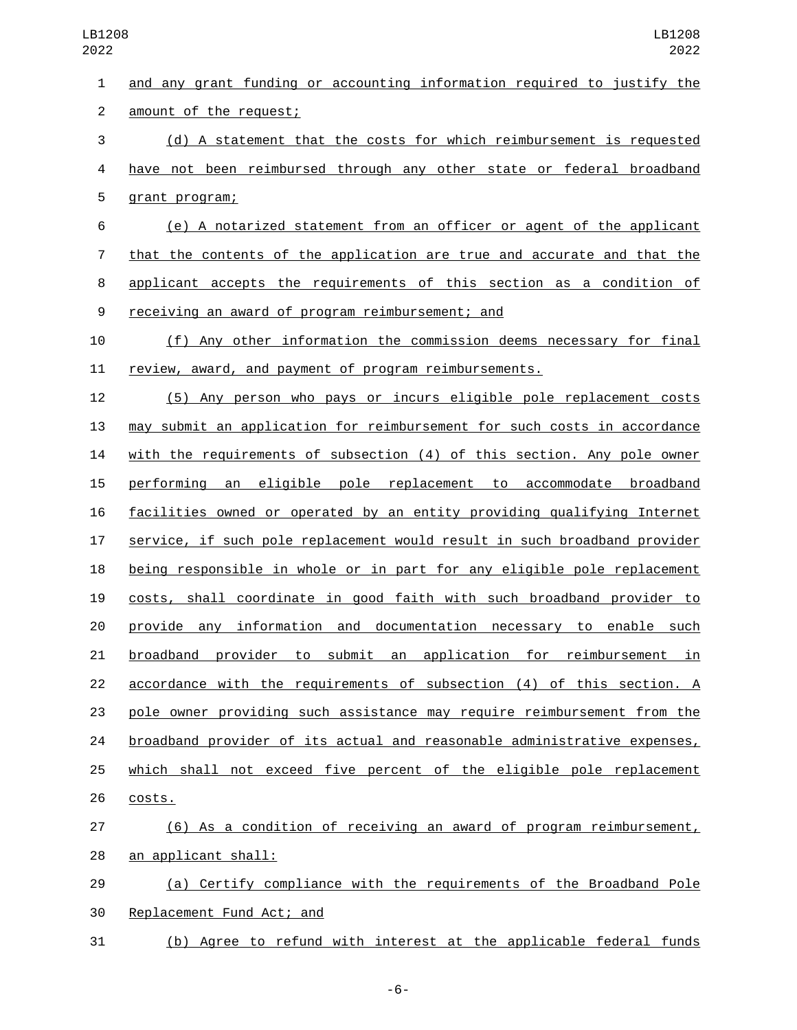| $\mathbf{1}$   | and any grant funding or accounting information required to justify the   |
|----------------|---------------------------------------------------------------------------|
| $\overline{2}$ | amount of the request;                                                    |
| 3              | (d) A statement that the costs for which reimbursement is requested       |
| 4              | have not been reimbursed through any other state or federal broadband     |
| 5              | grant program;                                                            |
| 6              | (e) A notarized statement from an officer or agent of the applicant       |
| $\overline{7}$ | that the contents of the application are true and accurate and that the   |
| 8              | applicant accepts the requirements of this section as a condition of      |
| 9              | receiving an award of program reimbursement; and                          |
| 10             | (f) Any other information the commission deems necessary for final        |
| 11             | review, award, and payment of program reimbursements.                     |
| 12             | (5) Any person who pays or incurs eligible pole replacement costs         |
| 13             | may submit an application for reimbursement for such costs in accordance  |
| 14             | with the requirements of subsection (4) of this section. Any pole owner   |
| 15             | an eligible pole replacement to accommodate broadband<br>performing       |
| 16             | facilities owned or operated by an entity providing qualifying Internet   |
| 17             | service, if such pole replacement would result in such broadband provider |
| 18             | being responsible in whole or in part for any eligible pole replacement   |
| 19             | costs, shall coordinate in good faith with such broadband provider to     |
| 20             | provide any information and documentation necessary to enable such        |
| 21             | provider to<br>submit an application for reimbursement in<br>broadband    |
| 22             | accordance with the requirements of subsection (4) of this section. A     |
| 23             | pole owner providing such assistance may require reimbursement from the   |
| 24             | broadband provider of its actual and reasonable administrative expenses,  |
| 25             | which shall not exceed five percent of the eligible pole replacement      |
| 26             | costs.                                                                    |
| 27             | (6) As a condition of receiving an award of program reimbursement,        |
| 28             | an applicant shall:                                                       |
| 29             | (a) Certify compliance with the requirements of the Broadband Pole        |
| 30             | Replacement Fund Act; and                                                 |

(b) Agree to refund with interest at the applicable federal funds

-6-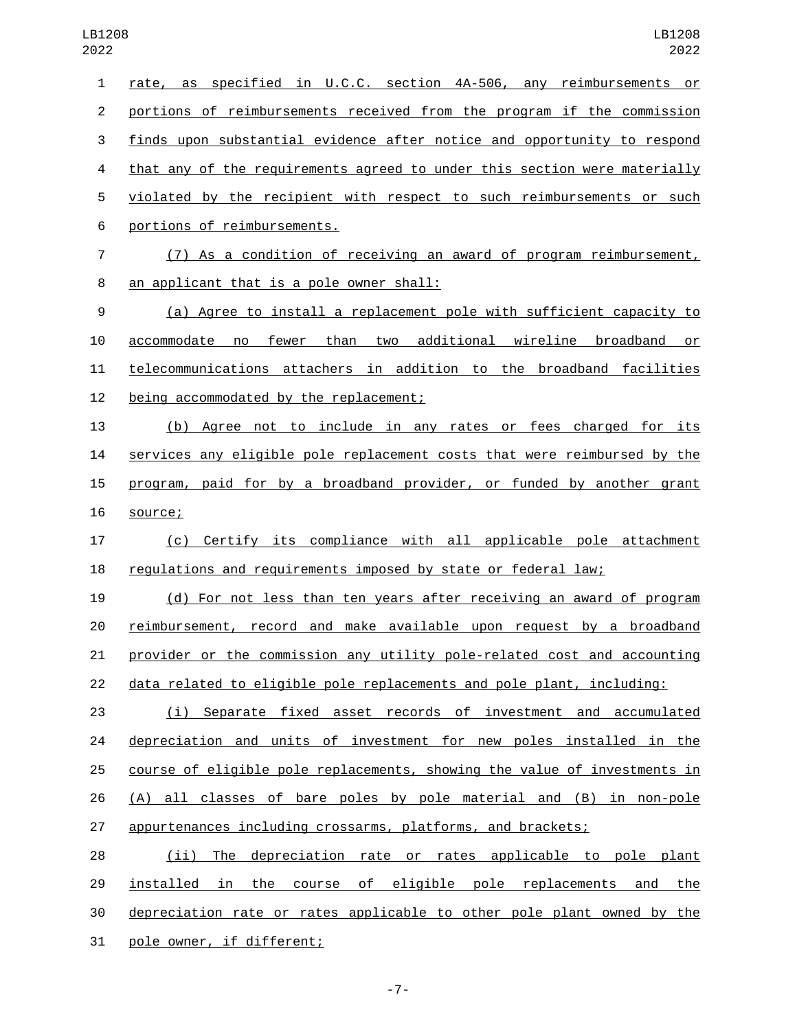| $\mathbf{1}$   | rate, as specified in U.C.C. section 4A-506, any reimbursements or        |
|----------------|---------------------------------------------------------------------------|
| $\overline{2}$ | portions of reimbursements received from the program if the commission    |
| 3              | finds upon substantial evidence after notice and opportunity to respond   |
| 4              | that any of the requirements agreed to under this section were materially |
| 5              | violated by the recipient with respect to such reimbursements or such     |
| 6              | portions of reimbursements.                                               |
| $\overline{7}$ | (7) As a condition of receiving an award of program reimbursement,        |
| 8              | an applicant that is a pole owner shall:                                  |
| 9              | (a) Agree to install a replacement pole with sufficient capacity to       |
| 10             | accommodate no fewer than two additional wireline broadband or            |
| 11             | telecommunications attachers in addition to the broadband facilities      |
| 12             | being accommodated by the replacement;                                    |
| 13             | Agree not to include in any rates or fees charged for its<br>(b)          |
| 14             | services any eligible pole replacement costs that were reimbursed by the  |
| 15             | program, paid for by a broadband provider, or funded by another grant     |
| 16             | source;                                                                   |
| 17             | (c) Certify its compliance with all applicable pole attachment            |
| 18             | regulations and requirements imposed by state or federal law;             |
| 19             | (d) For not less than ten years after receiving an award of program       |
| 20             | reimbursement, record and make available upon request by a broadband      |
| 21             | provider or the commission any utility pole-related cost and accounting   |
| 22             | data related to eligible pole replacements and pole plant, including:     |
| 23             | (i) Separate fixed asset records of investment and accumulated            |
| 24             | depreciation and units of investment for new poles installed in the       |
| 25             | course of eligible pole replacements, showing the value of investments in |
| 26             | (A) all classes of bare poles by pole material and (B) in non-pole        |
| 27             | appurtenances including crossarms, platforms, and brackets;               |
| 28             | (ii) The depreciation rate or rates applicable to pole plant              |
| 29             | installed in the course of eligible pole replacements and the             |
| 30             | depreciation rate or rates applicable to other pole plant owned by the    |

31 pole owner, if different;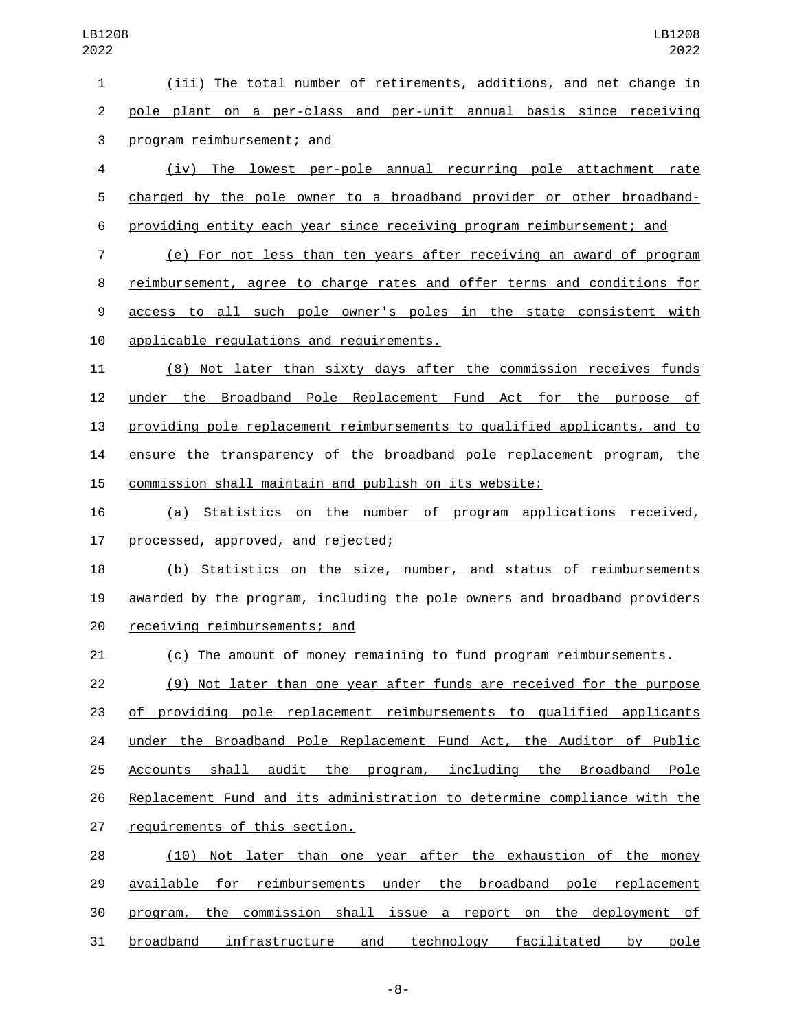(iii) The total number of retirements, additions, and net change in pole plant on a per-class and per-unit annual basis since receiving 3 program reimbursement; and (iv) The lowest per-pole annual recurring pole attachment rate charged by the pole owner to a broadband provider or other broadband- providing entity each year since receiving program reimbursement; and (e) For not less than ten years after receiving an award of program reimbursement, agree to charge rates and offer terms and conditions for access to all such pole owner's poles in the state consistent with 10 applicable requlations and requirements. (8) Not later than sixty days after the commission receives funds under the Broadband Pole Replacement Fund Act for the purpose of providing pole replacement reimbursements to qualified applicants, and to ensure the transparency of the broadband pole replacement program, the commission shall maintain and publish on its website: (a) Statistics on the number of program applications received, 17 processed, approved, and rejected; (b) Statistics on the size, number, and status of reimbursements awarded by the program, including the pole owners and broadband providers 20 receiving reimbursements; and (c) The amount of money remaining to fund program reimbursements. (9) Not later than one year after funds are received for the purpose of providing pole replacement reimbursements to qualified applicants under the Broadband Pole Replacement Fund Act, the Auditor of Public Accounts shall audit the program, including the Broadband Pole Replacement Fund and its administration to determine compliance with the 27 requirements of this section. (10) Not later than one year after the exhaustion of the money 29 available for reimbursements under the broadband pole replacement program, the commission shall issue a report on the deployment of

broadband infrastructure and technology facilitated by pole